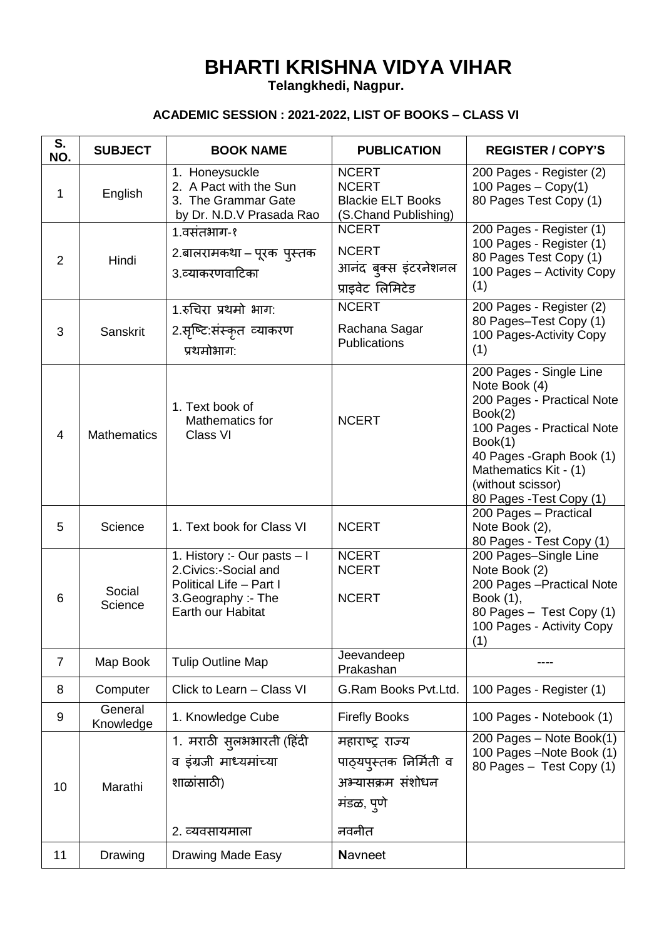## **BHARTI KRISHNA VIDYA VIHAR**

**Telangkhedi, Nagpur.**

## **ACADEMIC SESSION : 2021-2022, LIST OF BOOKS – CLASS VI**

| S.<br>NO.      | <b>SUBJECT</b>       | <b>BOOK NAME</b>                                                                                                            | <b>PUBLICATION</b>                                                                     | <b>REGISTER / COPY'S</b>                                                                                                                                                                                                          |
|----------------|----------------------|-----------------------------------------------------------------------------------------------------------------------------|----------------------------------------------------------------------------------------|-----------------------------------------------------------------------------------------------------------------------------------------------------------------------------------------------------------------------------------|
| 1              | English              | 1. Honeysuckle<br>2. A Pact with the Sun<br>3. The Grammar Gate<br>by Dr. N.D.V Prasada Rao                                 | <b>NCERT</b><br><b>NCERT</b><br><b>Blackie ELT Books</b><br>(S.Chand Publishing)       | 200 Pages - Register (2)<br>100 Pages $-$ Copy(1)<br>80 Pages Test Copy (1)                                                                                                                                                       |
| 2              | Hindi                | 1.वसंतभाग-१<br>2.बालरामकथा – पूरक  पुस्तक<br>3.व्याकरणवाटिका                                                                | <b>NCERT</b><br><b>NCERT</b><br>आनंद बुक्स इंटरनेशनल<br>प्राइवेट लिमिटेड               | 200 Pages - Register (1)<br>100 Pages - Register (1)<br>80 Pages Test Copy (1)<br>100 Pages - Activity Copy<br>(1)                                                                                                                |
| 3              | Sanskrit             | 1.रुचिरा प्रथमो भाग:<br>2.सृष्टि:संस्कृत व्याकरण<br>प्रथमोभाग:                                                              | <b>NCERT</b><br>Rachana Sagar<br><b>Publications</b>                                   | 200 Pages - Register (2)<br>80 Pages-Test Copy (1)<br>100 Pages-Activity Copy<br>(1)                                                                                                                                              |
| 4              | <b>Mathematics</b>   | 1. Text book of<br>Mathematics for<br>Class VI                                                                              | <b>NCERT</b>                                                                           | 200 Pages - Single Line<br>Note Book (4)<br>200 Pages - Practical Note<br>Book(2)<br>100 Pages - Practical Note<br>Book(1)<br>40 Pages - Graph Book (1)<br>Mathematics Kit - (1)<br>(without scissor)<br>80 Pages - Test Copy (1) |
| 5              | Science              | 1. Text book for Class VI                                                                                                   | <b>NCERT</b>                                                                           | 200 Pages - Practical<br>Note Book (2),<br>80 Pages - Test Copy (1)                                                                                                                                                               |
| 6              | Social<br>Science    | 1. History :- Our pasts - I<br>2. Civics:-Social and<br>Political Life - Part I<br>3. Geography :- The<br>Earth our Habitat | <b>NCERT</b><br><b>NCERT</b><br><b>NCERT</b>                                           | 200 Pages-Single Line<br>Note Book (2)<br>200 Pages - Practical Note<br>Book (1),<br>80 Pages - Test Copy (1)<br>100 Pages - Activity Copy<br>(1)                                                                                 |
| $\overline{7}$ | Map Book             | <b>Tulip Outline Map</b>                                                                                                    | Jeevandeep<br>Prakashan                                                                |                                                                                                                                                                                                                                   |
| 8              | Computer             | Click to Learn - Class VI                                                                                                   | G.Ram Books Pvt.Ltd.                                                                   | 100 Pages - Register (1)                                                                                                                                                                                                          |
| 9              | General<br>Knowledge | 1. Knowledge Cube                                                                                                           | <b>Firefly Books</b>                                                                   | 100 Pages - Notebook (1)                                                                                                                                                                                                          |
| 10             | Marathi              | 1. मराठी सुलभभारती (हिंदी<br>व इंग्रजी माध्यमांच्या<br>शाळांसाठी)<br>2. व्यवसायमाला                                         | महाराष्ट्र राज्य<br>पाठ्यपुस्तक निर्मिती व<br>अभ्यासक्रम संशोधन<br>मंडळ, पुणे<br>नवनीत | 200 Pages - Note Book(1)<br>100 Pages - Note Book (1)<br>80 Pages - Test Copy (1)                                                                                                                                                 |
| 11             | Drawing              | Drawing Made Easy                                                                                                           | <b>Navneet</b>                                                                         |                                                                                                                                                                                                                                   |